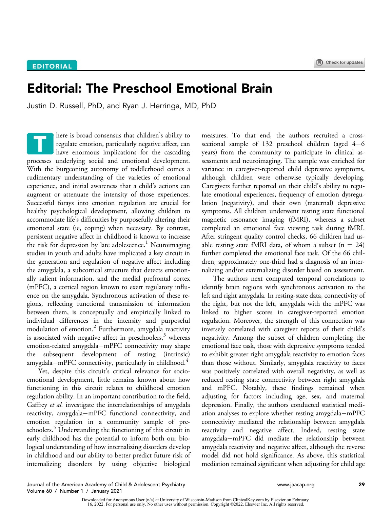## Editorial: The Preschool Emotional Brain

Justin D. Russell, PhD, and Ryan J. Herringa, MD, PhD

here is broad consensus that children's ability to regulate emotion, particularly negative affect, can have enormous implications for the cascading processes underlying social and emotional development. With the burgeoning autonomy of toddlerhood comes a rudimentary understanding of the varieties of emotional experience, and initial awareness that a child's actions can augment or attenuate the intensity of those experiences. Successful forays into emotion regulation are crucial for healthy psychological development, allowing children to accommodate life's difficulties by purposefully altering their emotional state (ie, coping) when necessary. By contrast, persistent negative affect in childhood is known to increase the risk for depression by late adolescence.<sup>[1](#page-2-0)</sup> Neuroimaging studies in youth and adults have implicated a key circuit in the generation and regulation of negative affect including the amygdala, a subcortical structure that detects emotionally salient information, and the medial prefrontal cortex (mPFC), a cortical region known to exert regulatory influence on the amygdala. Synchronous activation of these regions, reflecting functional transmission of information between them, is conceptually and empirically linked to individual differences in the intensity and purposeful modulation of emotion.[2](#page-2-1) Furthermore, amygdala reactivity is associated with negative affect in preschoolers, $3$  whereas emotion-related amygdala-mPFC connectivity may shape<br>the subsequent development of resting (intrinsic) subsequent development of resting (intrinsic) amygdala-mPFC connectivity, particularly in childhood.<sup>4</sup> T

Yet, despite this circuit's critical relevance for socioemotional development, little remains known about how functioning in this circuit relates to childhood emotion regulation ability. In an important contribution to the field, Gaffrey et al. investigate the interrelationships of amygdala reactivity, amygdala-mPFC functional connectivity, and emotion regulation in a community sample of pre-schoolers.<sup>[5](#page-2-4)</sup> Understanding the functioning of this circuit in early childhood has the potential to inform both our biological understanding of how internalizing disorders develop in childhood and our ability to better predict future risk of internalizing disorders by using objective biological

measures. To that end, the authors recruited a crosssectional sample of 132 preschool children (aged  $4-6$ years) from the community to participate in clinical assessments and neuroimaging. The sample was enriched for variance in caregiver-reported child depressive symptoms, although children were otherwise typically developing. Caregivers further reported on their child's ability to regulate emotional experiences, frequency of emotion dysregulation (negativity), and their own (maternal) depressive symptoms. All children underwent resting state functional magnetic resonance imaging (fMRI), whereas a subset completed an emotional face viewing task during fMRI. After stringent quality control checks, 66 children had usable resting state fMRI data, of whom a subset  $(n = 24)$ further completed the emotional face task. Of the 66 children, approximately one-third had a diagnosis of an internalizing and/or externalizing disorder based on assessment.

The authors next computed temporal correlations to identify brain regions with synchronous activation to the left and right amygdala. In resting-state data, connectivity of the right, but not the left, amygdala with the mPFC was linked to higher scores in caregiver-reported emotion regulation. Moreover, the strength of this connection was inversely correlated with caregiver reports of their child's negativity. Among the subset of children completing the emotional face task, those with depressive symptoms tended to exhibit greater right amygdala reactivity to emotion faces than those without. Similarly, amygdala reactivity to faces was positively correlated with overall negativity, as well as reduced resting state connectivity between right amygdala and mPFC. Notably, these findings remained when adjusting for factors including age, sex, and maternal depression. Finally, the authors conducted statistical mediation analyses to explore whether resting amygdala-mPFC connectivity mediated the relationship between amygdala reactivity and negative affect. Indeed, resting state amygdala-mPFC did mediate the relationship between amygdala reactivity and negative affect, although the reverse model did not hold significance. As above, this statistical mediation remained significant when adjusting for child age

Journal of the American Academy of Child & Adolescent Psychiatry [www.jaacap.org](http://www.jaacap.org) 29 Volume 60 / Number 1 / January 2021

Downloaded for Anonymous User (n/a) at University of Wisconsin-Madison from ClinicalKey.com by Elsevier on February<br>16, 2022. For personal use only. No other uses without permission. Copyright ©2022. Elsevier Inc. All righ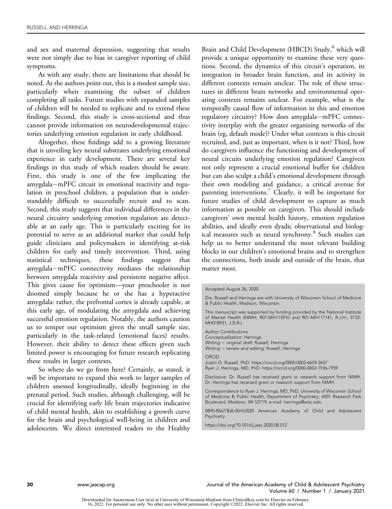and sex and maternal depression, suggesting that results were not simply due to bias in caregiver reporting of child symptoms.

As with any study, there are limitations that should be noted. As the authors point out, this is a modest sample size, particularly when examining the subset of children completing all tasks. Future studies with expanded samples of children will be needed to replicate and to extend these findings. Second, this study is cross-sectional and thus cannot provide information on neurodevelopmental trajectories underlying emotion regulation in early childhood.

Altogether, these findings add to a growing literature that is unveiling key neural substrates underlying emotional experience in early development. There are several key findings in this study of which readers should be aware. First, this study is one of the few implicating the amygdala-mPFC circuit in emotional reactivity and regulation in preschool children, a population that is understandably difficult to successfully recruit and to scan. Second, this study suggests that individual differences in the neural circuitry underlying emotion regulation are detectable at an early age. This is particularly exciting for its potential to serve as an additional marker that could help guide clinicians and policymakers in identifying at-risk children for early and timely intervention. Third, using statistical techniques, these findings suggest that amygdala-mPFC connectivity mediates the relationship between amygdala reactivity and persistent negative affect. This gives cause for optimism—your preschooler is not doomed simply because he or she has a hyperactive amygdala: rather, the prefrontal cortex is already capable, at this early age, of modulating the amygdala and achieving successful emotion regulation. Notably, the authors caution us to temper our optimism given the small sample size, particularly in the task-related (emotional faces) results. However, their ability to detect these effects given such limited power is encouraging for future research replicating these results in larger contexts.

So where do we go from here? Certainly, as stated, it will be important to expand this work to larger samples of children assessed longitudinally, ideally beginning in the prenatal period. Such studies, although challenging, will be crucial for identifying early life brain trajectories indicative of child mental health, akin to establishing a growth curve for the brain and psychological well-being in children and adolescents. We direct interested readers to the Healthy Brain and Child Development (HBCD) Study,<sup>[6](#page-2-5)</sup> which will provide a unique opportunity to examine these very questions. Second, the dynamics of this circuit's operation, its integration in broader brain function, and its activity in different contexts remain unclear. The role of these structures in different brain networks and environmental operating contexts remains unclear. For example, what is the temporally causal flow of information in this and emotion regulatory circuitry? How does amygdala-mPFC connectivity interplay with the greater organizing networks of the brain (eg, default mode)? Under what contexts is this circuit recruited, and, just as important, when is it not? Third, how do caregivers influence the functioning and development of neural circuits underlying emotion regulation? Caregivers not only represent a crucial emotional buffer for children but can also sculpt a child's emotional development through their own modeling and guidance, a critical avenue for parenting interventions.<sup>[7](#page-2-6)</sup> Clearly, it will be important for future studies of child development to capture as much information as possible on caregivers. This should include caregivers' own mental health history, emotion regulation abilities, and ideally even dyadic observational and biolog-ical measures such as neural synchrony.<sup>[8](#page-2-7)</sup> Such studies can help us to better understand the most relevant building blocks in our children's emotional brains and to strengthen the connections, both inside and outside of the brain, that matter most.

Drs. Russell and Herringa are with University of Wisconsin School of Medicine & Public Health, Madison, Wisconsin.

This manuscript was supported by funding provided by the National Institute of Mental Health (NIMH; R01-MH115910 and R01-MH117141, R.J.H.; 5T32- MH018931, J.D.R.).

Author Contributions Conceptualization: Herringa Writing - original draft: Russell, Herringa Writing - review and editing: Russell, Herringa

ORCID

Justin D. Russell, PhD:<https://orcid.org/0000-0002-6659-2657> Ryan J. Herringa, MD, PhD:<https://orcid.org/0000-0002-1936-7959>

Disclosure: Dr. Russell has received grant or research support from NIMH. Dr. Herringa has received grant or research support from NIMH.

Correspondence to Ryan J. Herringa, MD, PhD, University of Wisconsin School of Medicine & Public Health, Department of Psychiatry, 6001 Research Park Boulevard, Madison, WI 53719; e-mail: [herringa@wisc.edu](mailto:herringa@wisc.edu)

0890-8567/\$36.00/@2020 American Academy of Child and Adolescent Psychiatry

<https://doi.org/10.1016/j.jaac.2020.08.012>

Accepted August 26, 2020.